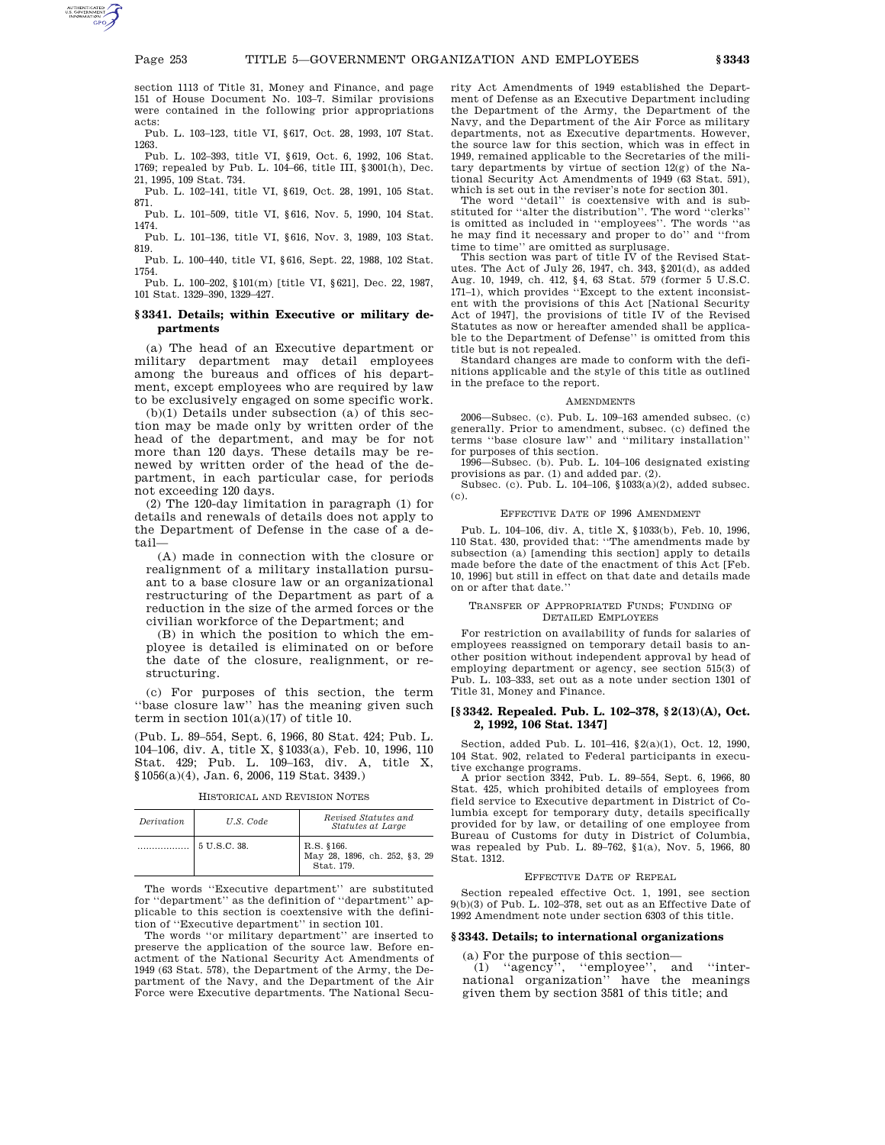section 1113 of Title 31, Money and Finance, and page 151 of House Document No. 103–7. Similar provisions were contained in the following prior appropriations acts:

Pub. L. 103–123, title VI, §617, Oct. 28, 1993, 107 Stat. 1263.

Pub. L. 102–393, title VI, §619, Oct. 6, 1992, 106 Stat. 1769; repealed by Pub. L. 104–66, title III, §3001(h), Dec. 21, 1995, 109 Stat. 734.

Pub. L. 102–141, title VI, §619, Oct. 28, 1991, 105 Stat. 871.

Pub. L. 101–509, title VI, §616, Nov. 5, 1990, 104 Stat. 1474.

Pub. L. 101–136, title VI, §616, Nov. 3, 1989, 103 Stat. 819.

Pub. L. 100–440, title VI, §616, Sept. 22, 1988, 102 Stat. 1754. Pub. L. 100–202, §101(m) [title VI, §621], Dec. 22, 1987,

101 Stat. 1329–390, 1329–427.

# **§ 3341. Details; within Executive or military departments**

(a) The head of an Executive department or military department may detail employees among the bureaus and offices of his department, except employees who are required by law to be exclusively engaged on some specific work.

(b)(1) Details under subsection (a) of this section may be made only by written order of the head of the department, and may be for not more than 120 days. These details may be renewed by written order of the head of the department, in each particular case, for periods not exceeding 120 days.

(2) The 120-day limitation in paragraph (1) for details and renewals of details does not apply to the Department of Defense in the case of a detail—

(A) made in connection with the closure or realignment of a military installation pursuant to a base closure law or an organizational restructuring of the Department as part of a reduction in the size of the armed forces or the civilian workforce of the Department; and

(B) in which the position to which the employee is detailed is eliminated on or before the date of the closure, realignment, or restructuring.

(c) For purposes of this section, the term ''base closure law'' has the meaning given such term in section  $101(a)(17)$  of title 10.

(Pub. L. 89–554, Sept. 6, 1966, 80 Stat. 424; Pub. L. 104–106, div. A, title X, §1033(a), Feb. 10, 1996, 110 Stat. 429; Pub. L. 109–163, div. A, title X, §1056(a)(4), Jan. 6, 2006, 119 Stat. 3439.)

HISTORICAL AND REVISION NOTES

| Derivation | U.S. Code    | Revised Statutes and<br><i>Statutes at Large</i>          |
|------------|--------------|-----------------------------------------------------------|
|            | 5 U.S.C. 38. | R.S. §166.<br>May 28, 1896, ch. 252, §3, 29<br>Stat. 179. |

The words ''Executive department'' are substituted for ''department'' as the definition of ''department'' applicable to this section is coextensive with the definition of ''Executive department'' in section 101.

The words ''or military department'' are inserted to preserve the application of the source law. Before enactment of the National Security Act Amendments of 1949 (63 Stat. 578), the Department of the Army, the Department of the Navy, and the Department of the Air Force were Executive departments. The National Security Act Amendments of 1949 established the Department of Defense as an Executive Department including the Department of the Army, the Department of the Navy, and the Department of the Air Force as military departments, not as Executive departments. However, the source law for this section, which was in effect in 1949, remained applicable to the Secretaries of the military departments by virtue of section 12(g) of the National Security Act Amendments of 1949 (63 Stat. 591),

which is set out in the reviser's note for section 301. The word ''detail'' is coextensive with and is substituted for ''alter the distribution''. The word ''clerks'' is omitted as included in ''employees''. The words ''as he may find it necessary and proper to do'' and ''from time to time'' are omitted as surplusage.

This section was part of title IV of the Revised Statutes. The Act of July 26, 1947, ch. 343, §201(d), as added Aug. 10, 1949, ch. 412, §4, 63 Stat. 579 (former 5 U.S.C. 171–1), which provides ''Except to the extent inconsistent with the provisions of this Act [National Security Act of 1947], the provisions of title IV of the Revised Statutes as now or hereafter amended shall be applicable to the Department of Defense'' is omitted from this title but is not repealed.

Standard changes are made to conform with the definitions applicable and the style of this title as outlined in the preface to the report.

### **AMENDMENTS**

2006—Subsec. (c). Pub. L. 109–163 amended subsec. (c) generally. Prior to amendment, subsec. (c) defined the terms ''base closure law'' and ''military installation'' for purposes of this section.

1996—Subsec. (b). Pub. L. 104–106 designated existing provisions as par. (1) and added par. (2).<br>Subsec. (c). Pub. L. 104–106, §1033(a)(2), added subsec.

(c).

#### EFFECTIVE DATE OF 1996 AMENDMENT

Pub. L. 104–106, div. A, title X, §1033(b), Feb. 10, 1996, 110 Stat. 430, provided that: ''The amendments made by subsection (a) [amending this section] apply to details made before the date of the enactment of this Act [Feb. 10, 1996] but still in effect on that date and details made on or after that date.''

## TRANSFER OF APPROPRIATED FUNDS; FUNDING OF DETAILED EMPLOYEES

For restriction on availability of funds for salaries of employees reassigned on temporary detail basis to another position without independent approval by head of employing department or agency, see section 515(3) of Pub. L. 103–333, set out as a note under section 1301 of Title 31, Money and Finance.

## **[§ 3342. Repealed. Pub. L. 102–378, § 2(13)(A), Oct. 2, 1992, 106 Stat. 1347]**

Section, added Pub. L. 101–416, §2(a)(1), Oct. 12, 1990, 104 Stat. 902, related to Federal participants in executive exchange programs.

A prior section 3342, Pub. L. 89–554, Sept. 6, 1966, 80 Stat. 425, which prohibited details of employees from field service to Executive department in District of Columbia except for temporary duty, details specifically provided for by law, or detailing of one employee from Bureau of Customs for duty in District of Columbia, was repealed by Pub. L. 89–762, §1(a), Nov. 5, 1966, 80 Stat. 1312.

## EFFECTIVE DATE OF REPEAL

Section repealed effective Oct. 1, 1991, see section 9(b)(3) of Pub. L. 102–378, set out as an Effective Date of 1992 Amendment note under section 6303 of this title.

## **§ 3343. Details; to international organizations**

(a) For the purpose of this section—

(1) ''agency'', ''employee'', and ''international organization'' have the meanings given them by section 3581 of this title; and